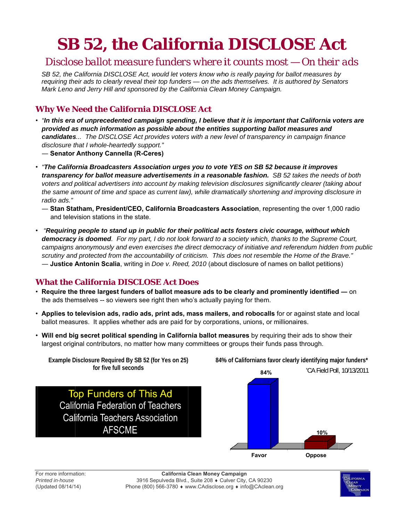# **SB 52, the California DISCLOSE Act**

### Disclose ballot measure funders where it counts most – On their ads

SB 52, the California DISCLOSE Act, would let voters know who is really paying for ballot measures by requiring their ads to clearly reveal their top funders — on the ads themselves. It is authored by Senators Mark Leno and Jerry Hill and sponsored by the California Clean Money Campaign.

#### **Why We Need the California DISCLOSE Act**

- . "In this era of unprecedented campaign spending, I believe that it is important that California voters are provided as much information as possible about the entities supporting ballot measures and candidates... The DISCLOSE Act provides voters with a new level of transparency in campaign finance disclosure that I whole-heartedly support." - Senator Anthony Cannella (R-Ceres)
- "The California Broadcasters Association urges you to vote YES on SB 52 because it improves transparency for ballot measure advertisements in a reasonable fashion. SB 52 takes the needs of both voters and political advertisers into account by making television disclosures significantly clearer (taking about the same amount of time and space as current law), while dramatically shortening and improving disclosure in
	- Stan Statham, President/CEO, California Broadcasters Association, representing the over 1,000 radio and television stations in the state.
- Requiring people to stand up in public for their political acts fosters civic courage, without which democracy is doomed. For my part, I do not look forward to a society which, thanks to the Supreme Court, campaigns anonymously and even exercises the direct democracy of initiative and referendum hidden from public scrutiny and protected from the accountability of criticism. This does not resemble the Home of the Brave." - Justice Antonin Scalia, writing in Doe v. Reed, 2010 (about disclosure of names on ballot petitions)

#### **What the California DISCLOSE Act Does**

- Require the three largest funders of ballot measure ads to be clearly and prominently identified on the ads themselves -- so viewers see right then who's actually paying for them.
- Applies to television ads, radio ads, print ads, mass mailers, and robocalls for or against state and local ballot measures. It applies whether ads are paid for by corporations, unions, or millionaires.
- . Will end big secret political spending in California ballot measures by requiring their ads to show their largest original contributors, no matter how many committees or groups their funds pass through.

Example Disclosure Required By SB 52 (for Yes on 25) 84% of Californians favor clearly identifying major funders\* for five full seconds \*CA Field Poll, 10/13/2011 84% **Top Funders of This Ad California Federation of Teachers** California Teachers Association **AFSCME** 10% Favor Oppose

radio ads."